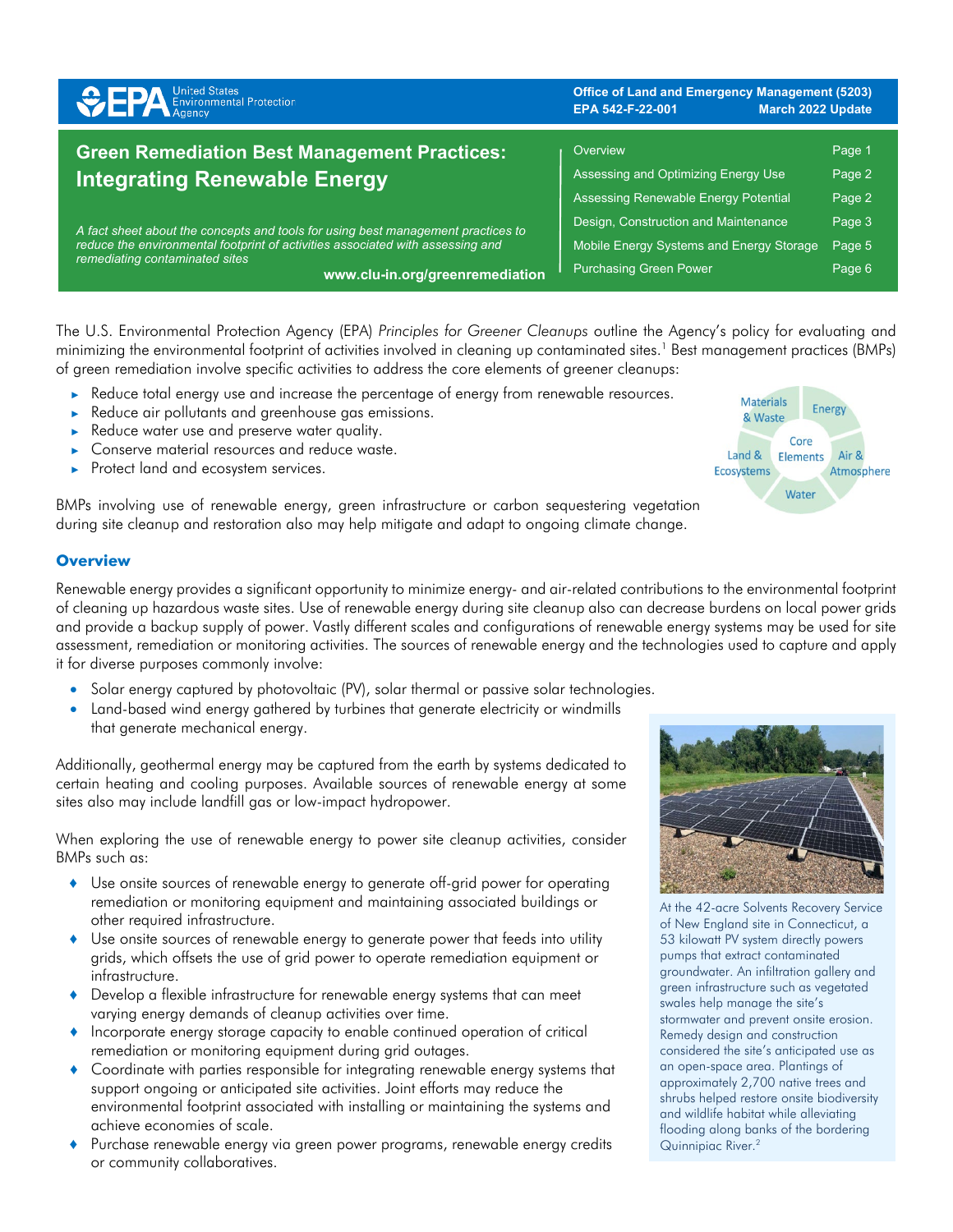| <b>SPA</b> Environmental Protection                                                                                                                                                                                                     | <b>Office of Land and Emergency Management (5203)</b><br>EPA 542-F-22-001<br><b>March 2022 Update</b> |        |
|-----------------------------------------------------------------------------------------------------------------------------------------------------------------------------------------------------------------------------------------|-------------------------------------------------------------------------------------------------------|--------|
| <b>Green Remediation Best Management Practices:</b>                                                                                                                                                                                     | Overview                                                                                              | Page 1 |
| <b>Integrating Renewable Energy</b>                                                                                                                                                                                                     | Assessing and Optimizing Energy Use                                                                   | Page 2 |
|                                                                                                                                                                                                                                         | Assessing Renewable Energy Potential                                                                  | Page 2 |
| A fact sheet about the concepts and tools for using best management practices to<br>reduce the environmental footprint of activities associated with assessing and<br>remediating contaminated sites<br>www.clu-in.org/greenremediation | Design, Construction and Maintenance                                                                  | Page 3 |
|                                                                                                                                                                                                                                         | Mobile Energy Systems and Energy Storage                                                              | Page 5 |
|                                                                                                                                                                                                                                         | <b>Purchasing Green Power</b>                                                                         | Page 6 |

The U.S. Environmental Protection Agency (EPA) *Principles for Greener Cleanups* outline the Agency's policy for evaluating and minimizing the environmental footprint of activities involved in cleaning up contaminated sites.<sup>1</sup> Best management practices (BMPs) of green remediation involve specific activities to address the core elements of greener cleanups:

- ► Reduce total energy use and increase the percentage of energy from renewable resources.
- ► Reduce air pollutants and greenhouse gas emissions.
- Reduce water use and preserve water quality.
- Conserve material resources and reduce waste.
- Protect land and ecosystem services.

BMPs involving use of renewable energy, green infrastructure or carbon sequestering vegetation during site cleanup and restoration also may help mitigate and adapt to ongoing climate change.

# **Overview**

Renewable energy provides a significant opportunity to minimize energy- and air-related contributions to the environmental footprint of cleaning up hazardous waste sites. Use of renewable energy during site cleanup also can decrease burdens on local power grids and provide a backup supply of power. Vastly different scales and configurations of renewable energy systems may be used for site assessment, remediation or monitoring activities. The sources of renewable energy and the technologies used to capture and apply it for diverse purposes commonly involve:

- Solar energy captured by photovoltaic (PV), solar thermal or passive solar technologies.
- Land-based wind energy gathered by turbines that generate electricity or windmills that generate mechanical energy.

Additionally, geothermal energy may be captured from the earth by systems dedicated to certain heating and cooling purposes. Available sources of renewable energy at some sites also may include landfill gas or low-impact hydropower.

When exploring the use of renewable energy to power site cleanup activities, consider BMPs such as:

- ♦ Use onsite sources of renewable energy to generate off-grid power for operating remediation or monitoring equipment and maintaining associated buildings or other required infrastructure.
- ♦ Use onsite sources of renewable energy to generate power that feeds into utility grids, which offsets the use of grid power to operate remediation equipment or infrastructure.
- ♦ Develop a flexible infrastructure for renewable energy systems that can meet varying energy demands of cleanup activities over time.
- Incorporate energy storage capacity to enable continued operation of critical remediation or monitoring equipment during grid outages.
- ♦ Coordinate with parties responsible for integrating renewable energy systems that support ongoing or anticipated site activities. Joint efforts may reduce the environmental footprint associated with installing or maintaining the systems and achieve economies of scale.
- Purchase renewable energy via green power programs, renewable energy credits or community collaboratives.



At the 42-acre Solvents Recovery Service of New England site in Connecticut, a 53 kilowatt PV system directly powers pumps that extract contaminated groundwater. An infiltration gallery and green infrastructure such as vegetated swales help manage the site's stormwater and prevent onsite erosion. Remedy design and construction considered the site's anticipated use as an open-space area. Plantings of approximately 2,700 native trees and shrubs helped restore onsite biodiversity and wildlife habitat while alleviating flooding along banks of the bordering Quinnipiac River.2

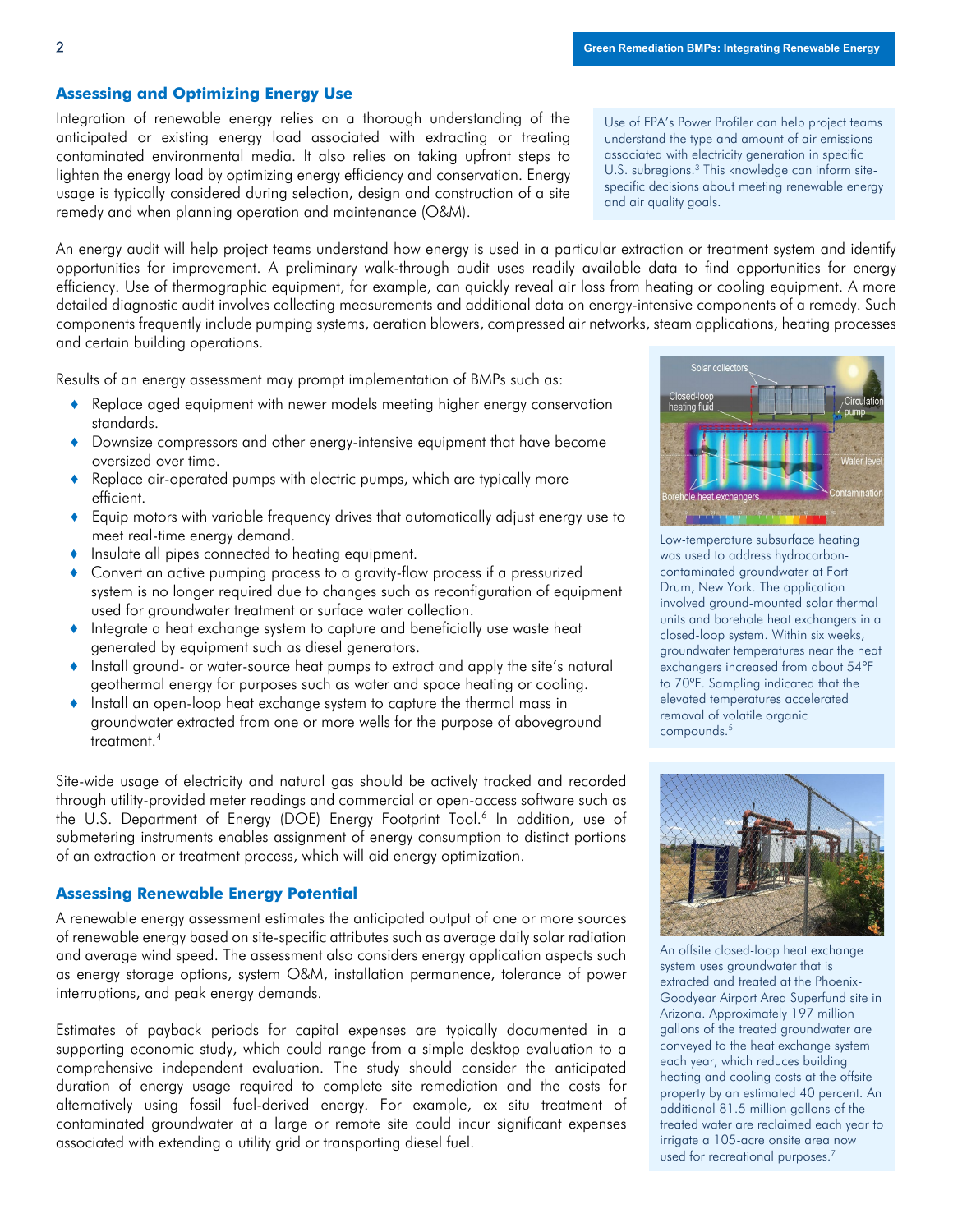## **Assessing and Optimizing Energy Use**

Integration of renewable energy relies on a thorough understanding of the anticipated or existing energy load associated with extracting or treating contaminated environmental media. It also relies on taking upfront steps to lighten the energy load by optimizing energy efficiency and conservation. Energy usage is typically considered during selection, design and construction of a site remedy and when planning operation and maintenance (O&M).

Use of EPA's Power Profiler can help project teams understand the type and amount of air emissions associated with electricity generation in specific U.S. subregions.<sup>3</sup> This knowledge can inform sitespecific decisions about meeting renewable energy and air quality goals.

An energy audit will help project teams understand how energy is used in a particular extraction or treatment system and identify opportunities for improvement. A preliminary walk-through audit uses readily available data to find opportunities for energy efficiency. Use of thermographic equipment, for example, can quickly reveal air loss from heating or cooling equipment. A more detailed diagnostic audit involves collecting measurements and additional data on energy-intensive components of a remedy. Such components frequently include pumping systems, aeration blowers, compressed air networks, steam applications, heating processes and certain building operations.

Results of an energy assessment may prompt implementation of BMPs such as:

- ♦ Replace aged equipment with newer models meeting higher energy conservation standards.
- Downsize compressors and other energy-intensive equipment that have become oversized over time.
- Replace air-operated pumps with electric pumps, which are typically more efficient.
- ♦ Equip motors with variable frequency drives that automatically adjust energy use to meet real-time energy demand.
- ♦ Insulate all pipes connected to heating equipment.
- Convert an active pumping process to a gravity-flow process if a pressurized system is no longer required due to changes such as reconfiguration of equipment used for groundwater treatment or surface water collection.
- ♦ Integrate a heat exchange system to capture and beneficially use waste heat generated by equipment such as diesel generators.
- ♦ Install ground- or water-source heat pumps to extract and apply the site's natural geothermal energy for purposes such as water and space heating or cooling.
- ♦ Install an open-loop heat exchange system to capture the thermal mass in groundwater extracted from one or more wells for the purpose of aboveground treatment<sup>4</sup>

Site-wide usage of electricity and natural gas should be actively tracked and recorded through utility-provided meter readings and commercial or open-access software such as the U.S. Department of Energy (DOE) Energy Footprint Tool. <sup>6</sup> In addition, use of submetering instruments enables assignment of energy consumption to distinct portions of an extraction or treatment process, which will aid energy optimization.

#### **Assessing Renewable Energy Potential**

A renewable energy assessment estimates the anticipated output of one or more sources of renewable energy based on site-specific attributes such as average daily solar radiation and average wind speed. The assessment also considers energy application aspects such as energy storage options, system O&M, installation permanence, tolerance of power interruptions, and peak energy demands.

Estimates of payback periods for capital expenses are typically documented in a supporting economic study, which could range from a simple desktop evaluation to a comprehensive independent evaluation. The study should consider the anticipated duration of energy usage required to complete site remediation and the costs for alternatively using fossil fuel-derived energy. For example, ex situ treatment of contaminated groundwater at a large or remote site could incur significant expenses associated with extending a utility grid or transporting diesel fuel.



Low-temperature subsurface heating was used to address hydrocarboncontaminated groundwater at Fort Drum, New York. The application involved ground-mounted solar thermal units and borehole heat exchangers in a closed-loop system. Within six weeks, groundwater temperatures near the heat exchangers increased from about 54ºF to 70ºF. Sampling indicated that the elevated temperatures accelerated removal of volatile organic compounds. 5



An offsite closed-loop heat exchange system uses groundwater that is extracted and treated at the Phoenix-Goodyear Airport Area Superfund site in Arizona. Approximately 197 million gallons of the treated groundwater are conveyed to the heat exchange system each year, which reduces building heating and cooling costs at the offsite property by an estimated 40 percent. An additional 81.5 million gallons of the treated water are reclaimed each year to irrigate a 105-acre onsite area now used for recreational purposes.<sup>7</sup>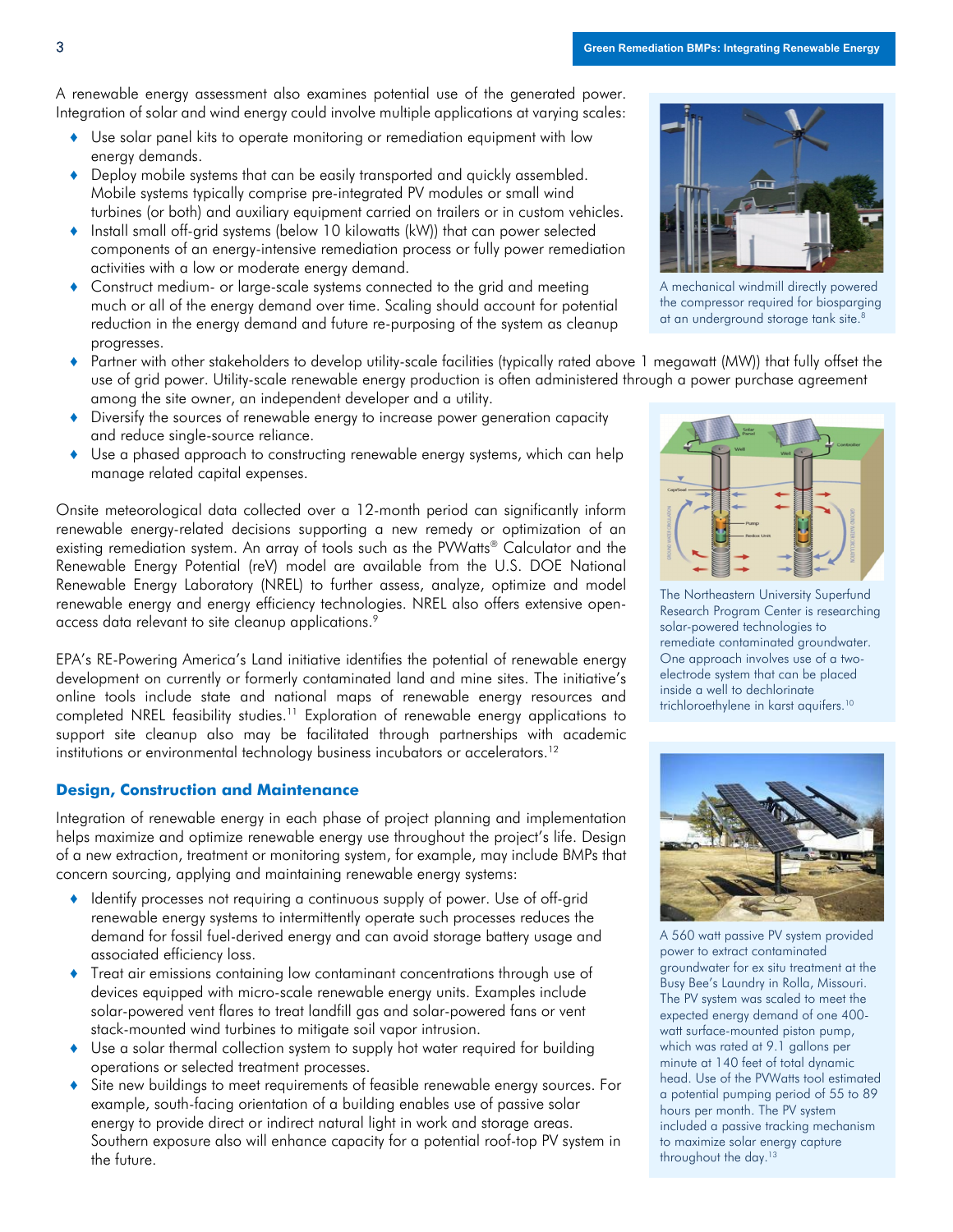A renewable energy assessment also examines potential use of the generated power. Integration of solar and wind energy could involve multiple applications at varying scales:

- ♦ Use solar panel kits to operate monitoring or remediation equipment with low energy demands.
- ♦ Deploy mobile systems that can be easily transported and quickly assembled. Mobile systems typically comprise pre-integrated PV modules or small wind turbines (or both) and auxiliary equipment carried on trailers or in custom vehicles.
- ♦ Install small off-grid systems (below 10 kilowatts (kW)) that can power selected components of an energy-intensive remediation process or fully power remediation activities with a low or moderate energy demand.
- ♦ Construct medium- or large-scale systems connected to the grid and meeting much or all of the energy demand over time. Scaling should account for potential reduction in the energy demand and future re-purposing of the system as cleanup progresses.
- ♦ Partner with other stakeholders to develop utility-scale facilities (typically rated above 1 megawatt (MW)) that fully offset the use of grid power. Utility-scale renewable energy production is often administered through a power purchase agreement among the site owner, an independent developer and a utility.
- ♦ Diversify the sources of renewable energy to increase power generation capacity and reduce single-source reliance.
- ♦ Use a phased approach to constructing renewable energy systems, which can help manage related capital expenses.

Onsite meteorological data collected over a 12-month period can significantly inform renewable energy-related decisions supporting a new remedy or optimization of an existing remediation system. An array of tools such as the PVWatts® Calculator and the Renewable Energy Potential (reV) model are available from the U.S. DOE National Renewable Energy Laboratory (NREL) to further assess, analyze, optimize and model renewable energy and energy efficiency technologies. NREL also offers extensive openaccess data relevant to site cleanup applications.<sup>9</sup>

EPA's RE-Powering America's Land initiative identifies the potential of renewable energy development on currently or formerly contaminated land and mine sites. The initiative's online tools include state and national maps of renewable energy resources and completed NREL feasibility studies.<sup>11</sup> Exploration of renewable energy applications to support site cleanup also may be facilitated through partnerships with academic institutions or environmental technology business incubators or accelerators.<sup>12</sup>

## **Design, Construction and Maintenance**

Integration of renewable energy in each phase of project planning and implementation helps maximize and optimize renewable energy use throughout the project's life. Design of a new extraction, treatment or monitoring system, for example, may include BMPs that concern sourcing, applying and maintaining renewable energy systems:

- ♦ Identify processes not requiring a continuous supply of power. Use of off-grid renewable energy systems to intermittently operate such processes reduces the demand for fossil fuel-derived energy and can avoid storage battery usage and associated efficiency loss.
- Treat air emissions containing low contaminant concentrations through use of devices equipped with micro-scale renewable energy units. Examples include solar-powered vent flares to treat landfill gas and solar-powered fans or vent stack-mounted wind turbines to mitigate soil vapor intrusion.
- Use a solar thermal collection system to supply hot water required for building operations or selected treatment processes.
- Site new buildings to meet requirements of feasible renewable energy sources. For example, south-facing orientation of a building enables use of passive solar energy to provide direct or indirect natural light in work and storage areas. Southern exposure also will enhance capacity for a potential roof-top PV system in the future.



A mechanical windmill directly powered the compressor required for biosparging at an underground storage tank site.<sup>8</sup>



The Northeastern University Superfund Research Program Center is researching solar-powered technologies to remediate contaminated groundwater. One approach involves use of a twoelectrode system that can be placed inside a well to dechlorinate trichloroethylene in karst aquifers.<sup>10</sup>



A 560 watt passive PV system provided power to extract contaminated groundwater for ex situ treatment at the Busy Bee's Laundry in Rolla, Missouri. The PV system was scaled to meet the expected energy demand of one 400 watt surface-mounted piston pump, which was rated at 9.1 gallons per minute at 140 feet of total dynamic head. Use of the PVWatts tool estimated a potential pumping period of 55 to 89 hours per month. The PV system included a passive tracking mechanism to maximize solar energy capture throughout the day.<sup>13</sup>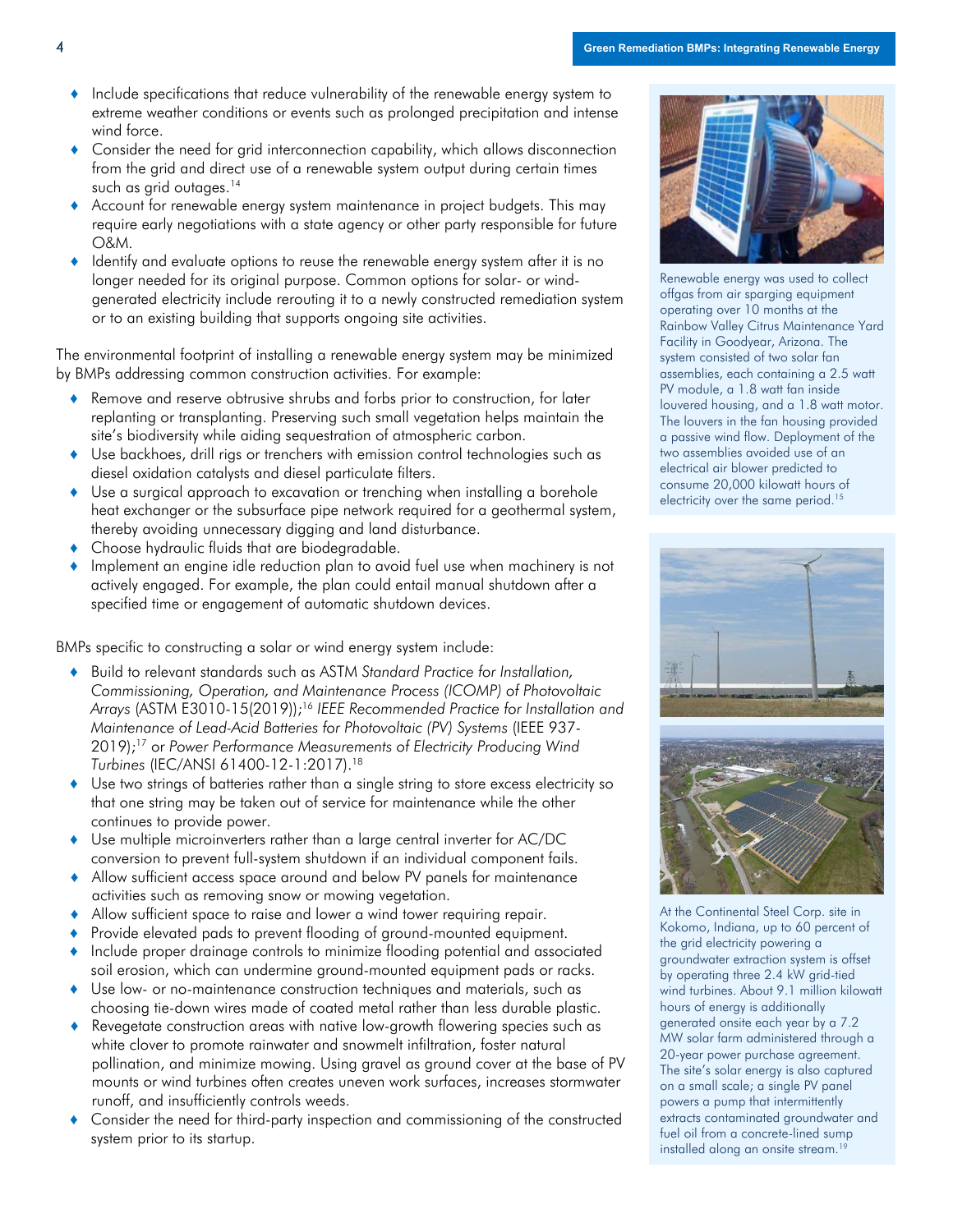- Include specifications that reduce vulnerability of the renewable energy system to extreme weather conditions or events such as prolonged precipitation and intense wind force.
- Consider the need for grid interconnection capability, which allows disconnection from the grid and direct use of a renewable system output during certain times such as grid outages. 14
- Account for renewable energy system maintenance in project budgets. This may require early negotiations with a state agency or other party responsible for future O&M.
- ♦ Identify and evaluate options to reuse the renewable energy system after it is no longer needed for its original purpose. Common options for solar- or windgenerated electricity include rerouting it to a newly constructed remediation system or to an existing building that supports ongoing site activities.

The environmental footprint of installing a renewable energy system may be minimized by BMPs addressing common construction activities. For example:

- Remove and reserve obtrusive shrubs and forbs prior to construction, for later replanting or transplanting. Preserving such small vegetation helps maintain the site's biodiversity while aiding sequestration of atmospheric carbon.
- ♦ Use backhoes, drill rigs or trenchers with emission control technologies such as diesel oxidation catalysts and diesel particulate filters.
- ♦ Use a surgical approach to excavation or trenching when installing a borehole heat exchanger or the subsurface pipe network required for a geothermal system, thereby avoiding unnecessary digging and land disturbance.
- ♦ Choose hydraulic fluids that are biodegradable.
- ♦ Implement an engine idle reduction plan to avoid fuel use when machinery is not actively engaged. For example, the plan could entail manual shutdown after a specified time or engagement of automatic shutdown devices.

BMPs specific to constructing a solar or wind energy system include:

- ♦ Build to relevant standards such as ASTM *Standard Practice for Installation, Commissioning, Operation, and Maintenance Process (ICOMP) of Photovoltaic Arrays* (ASTM E3010-15(2019)); <sup>16</sup> *IEEE Recommended Practice for Installation and Maintenance of Lead-Acid Batteries for Photovoltaic (PV) Systems* (IEEE 937- 2019); <sup>17</sup> or *Power Performance Measurements of Electricity Producing Wind Turbines* (IEC/ANSI 61400-12-1:2017). 18
- Use two strings of batteries rather than a single string to store excess electricity so that one string may be taken out of service for maintenance while the other continues to provide power.
- ♦ Use multiple microinverters rather than a large central inverter for AC/DC conversion to prevent full-system shutdown if an individual component fails.
- ♦ Allow sufficient access space around and below PV panels for maintenance activities such as removing snow or mowing vegetation.
- ♦ Allow sufficient space to raise and lower a wind tower requiring repair.
- Provide elevated pads to prevent flooding of ground-mounted equipment.
- ♦ Include proper drainage controls to minimize flooding potential and associated soil erosion, which can undermine ground-mounted equipment pads or racks.
- ♦ Use low- or no-maintenance construction techniques and materials, such as choosing tie-down wires made of coated metal rather than less durable plastic.
- Revegetate construction areas with native low-growth flowering species such as white clover to promote rainwater and snowmelt infiltration, foster natural pollination, and minimize mowing. Using gravel as ground cover at the base of PV mounts or wind turbines often creates uneven work surfaces, increases stormwater runoff, and insufficiently controls weeds.
- Consider the need for third-party inspection and commissioning of the constructed system prior to its startup.



Renewable energy was used to collect offgas from air sparging equipment operating over 10 months at the Rainbow Valley Citrus Maintenance Yard Facility in Goodyear, Arizona. The system consisted of two solar fan assemblies, each containing a 2.5 watt PV module, a 1.8 watt fan inside louvered housing, and a 1.8 watt motor. The louvers in the fan housing provided a passive wind flow. Deployment of the two assemblies avoided use of an electrical air blower predicted to consume 20,000 kilowatt hours of electricity over the same period.<sup>15</sup>





At the Continental Steel Corp. site in Kokomo, Indiana, up to 60 percent of the grid electricity powering a groundwater extraction system is offset by operating three 2.4 kW grid-tied wind turbines. About 9.1 million kilowatt hours of energy is additionally generated onsite each year by a 7.2 MW solar farm administered through a 20-year power purchase agreement. The site's solar energy is also captured on a small scale; a single PV panel powers a pump that intermittently extracts contaminated groundwater and fuel oil from a concrete-lined sump installed along an onsite stream.<sup>19</sup>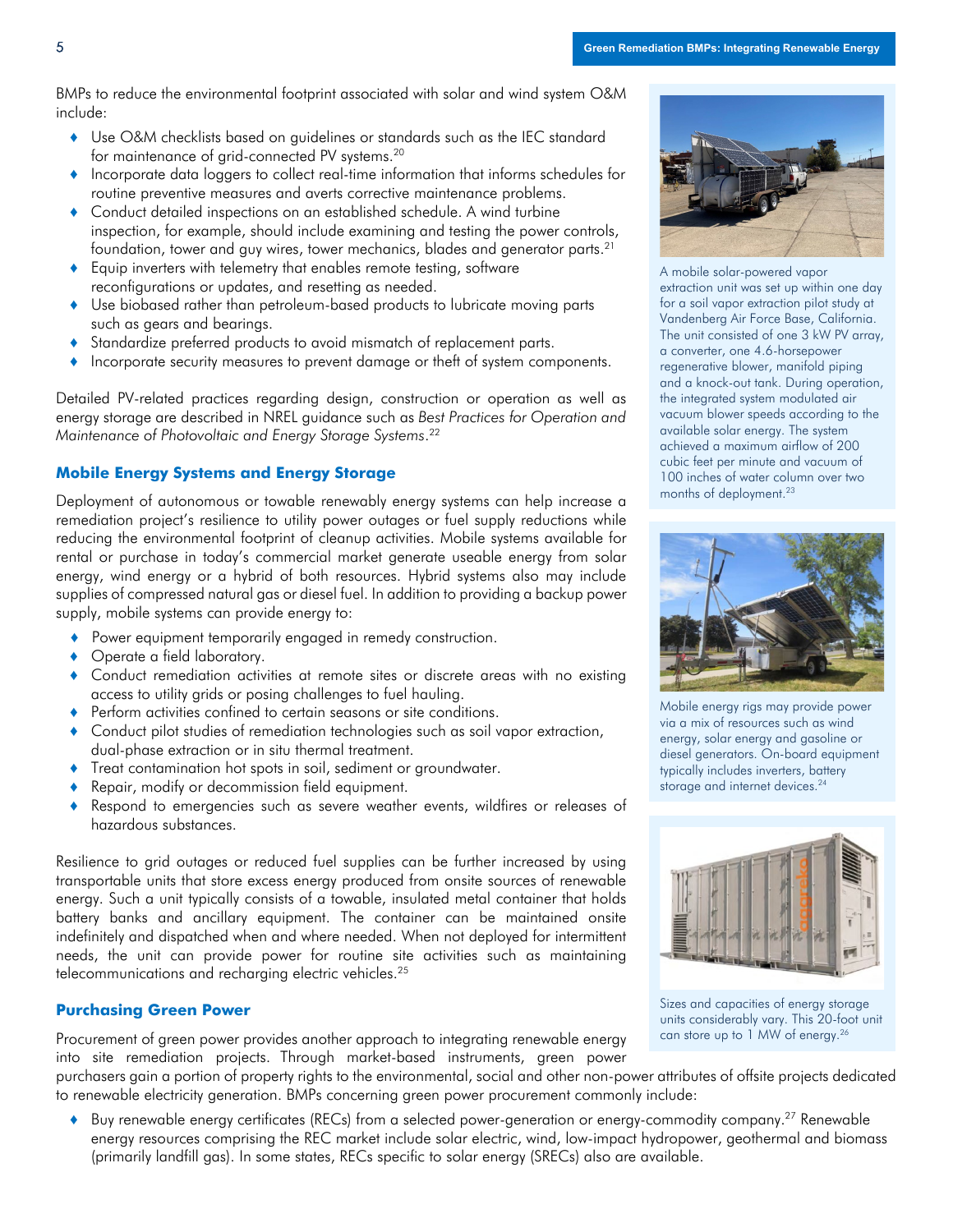BMPs to reduce the environmental footprint associated with solar and wind system O&M include:

- ♦ Use O&M checklists based on guidelines or standards such as the IEC standard for maintenance of grid-connected PV systems.20
- ♦ Incorporate data loggers to collect real-time information that informs schedules for routine preventive measures and averts corrective maintenance problems.
- ♦ Conduct detailed inspections on an established schedule. A wind turbine inspection, for example, should include examining and testing the power controls, foundation, tower and guy wires, tower mechanics, blades and generator parts. $^{21}$
- ♦ Equip inverters with telemetry that enables remote testing, software reconfigurations or updates, and resetting as needed.
- ♦ Use biobased rather than petroleum-based products to lubricate moving parts such as gears and bearings.
- ♦ Standardize preferred products to avoid mismatch of replacement parts.
- ♦ Incorporate security measures to prevent damage or theft of system components.

Detailed PV-related practices regarding design, construction or operation as well as energy storage are described in NREL guidance such as *Best Practices for Operation and Maintenance of Photovoltaic and Energy Storage Systems*. 22

# **Mobile Energy Systems and Energy Storage**

Deployment of autonomous or towable renewably energy systems can help increase a remediation project's resilience to utility power outages or fuel supply reductions while reducing the environmental footprint of cleanup activities. Mobile systems available for rental or purchase in today's commercial market generate useable energy from solar energy, wind energy or a hybrid of both resources. Hybrid systems also may include supplies of compressed natural gas or diesel fuel. In addition to providing a backup power supply, mobile systems can provide energy to:

- ♦ Power equipment temporarily engaged in remedy construction.
- ◆ Operate a field laboratory.
- ♦ Conduct remediation activities at remote sites or discrete areas with no existing access to utility grids or posing challenges to fuel hauling.
- Perform activities confined to certain seasons or site conditions.
- ♦ Conduct pilot studies of remediation technologies such as soil vapor extraction, dual-phase extraction or in situ thermal treatment.
- ♦ Treat contamination hot spots in soil, sediment or groundwater.
- Repair, modify or decommission field equipment.
- ♦ Respond to emergencies such as severe weather events, wildfires or releases of hazardous substances.

Resilience to grid outages or reduced fuel supplies can be further increased by using transportable units that store excess energy produced from onsite sources of renewable energy. Such a unit typically consists of a towable, insulated metal container that holds battery banks and ancillary equipment. The container can be maintained onsite indefinitely and dispatched when and where needed. When not deployed for intermittent needs, the unit can provide power for routine site activities such as maintaining telecommunications and recharging electric vehicles. 25

#### **Purchasing Green Power**

Procurement of green power provides another approach to integrating renewable energy into site remediation projects. Through market-based instruments, green power

purchasers gain a portion of property rights to the environmental, social and other non-power attributes of offsite projects dedicated to renewable electricity generation. BMPs concerning green power procurement commonly include:

Buy renewable energy certificates (RECs) from a selected power-generation or energy-commodity company.<sup>27</sup> Renewable energy resources comprising the REC market include solar electric, wind, low-impact hydropower, geothermal and biomass (primarily landfill gas). In some states, RECs specific to solar energy (SRECs) also are available.



A mobile solar-powered vapor extraction unit was set up within one day for a soil vapor extraction pilot study at Vandenberg Air Force Base, California. The unit consisted of one 3 kW PV array, a converter, one 4.6-horsepower regenerative blower, manifold piping and a knock-out tank. During operation, the integrated system modulated air vacuum blower speeds according to the available solar energy. The system achieved a maximum airflow of 200 cubic feet per minute and vacuum of 100 inches of water column over two months of deployment.<sup>23</sup>



Mobile energy rigs may provide power via a mix of resources such as wind energy, solar energy and gasoline or diesel generators. On-board equipment typically includes inverters, battery storage and internet devices. 24



Sizes and capacities of energy storage units considerably vary. This 20-foot unit can store up to 1 MW of energy.<sup>26</sup>